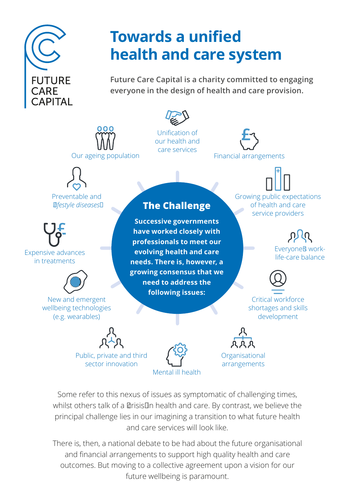

# **Towards a unified health and care system**

**Future Care Capital is a charity committed to engaging everyone in the design of health and care provision.**



our health and care services

Our ageing population

Preventable and *'lifestyle diseases'*

Expensive advances in treatments



New and emergent wellbeing technologies (e.g. wearables)

#### **The Challenge**

**Successive governments have worked closely with professionals to meet our evolving health and care needs. There is, however, a growing consensus that we need to address the following issues:**

Financial arrangements

Growing public expectations of health and care service providers

> Everyone's worklife-care balance



Critical workforce shortages and skills development

Public, private and third sector innovation



**Organisational** arrangements

Some refer to this nexus of issues as symptomatic of challenging times, whilst others talk of a 'crisis' in health and care. By contrast, we believe the principal challenge lies in our imagining a transition to what future health and care services will look like.

There is, then, a national debate to be had about the future organisational and financial arrangements to support high quality health and care outcomes. But moving to a collective agreement upon a vision for our future wellbeing is paramount.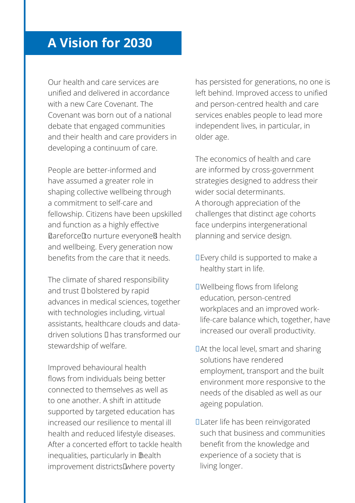### **A Vision for 2030**

Our health and care services are unified and delivered in accordance with a new Care Covenant. The Covenant was born out of a national debate that engaged communities and their health and care providers in developing a continuum of care.

People are better-informed and have assumed a greater role in shaping collective wellbeing through a commitment to self-care and fellowship. Citizens have been upskilled and function as a highly effective 'careforce' to nurture everyone's health and wellbeing. Every generation now benefits from the care that it needs.

The climate of shared responsibility and trust – bolstered by rapid advances in medical sciences, together with technologies including, virtual assistants, healthcare clouds and datadriven solutions – has transformed our stewardship of welfare.

Improved behavioural health flows from individuals being better connected to themselves as well as to one another. A shift in attitude supported by targeted education has increased our resilience to mental ill health and reduced lifestyle diseases. After a concerted effort to tackle health inequalities, particularly in 'health improvement districts' where poverty

has persisted for generations, no one is left behind. Improved access to unified and person-centred health and care services enables people to lead more independent lives, in particular, in older age.

The economics of health and care are informed by cross-government strategies designed to address their wider social determinants. A thorough appreciation of the challenges that distinct age cohorts face underpins intergenerational planning and service design.

- **•** Every child is supported to make a healthy start in life.
- **•** Wellbeing flows from lifelong education, person-centred workplaces and an improved worklife-care balance which, together, have increased our overall productivity.
- **•** At the local level, smart and sharing solutions have rendered employment, transport and the built environment more responsive to the needs of the disabled as well as our ageing population.
- **•** Later life has been reinvigorated such that business and communities benefit from the knowledge and experience of a society that is living longer.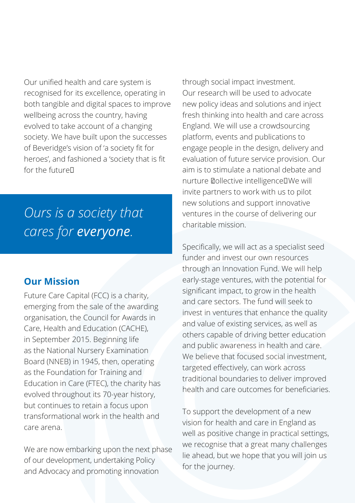Our unified health and care system is recognised for its excellence, operating in both tangible and digital spaces to improve wellbeing across the country, having evolved to take account of a changing society. We have built upon the successes of Beveridge's vision of 'a society fit for heroes', and fashioned a 'society that is fit for the future'.

## *Ours is a society that cares for everyone.*

#### **Our Mission**

Future Care Capital (FCC) is a charity, emerging from the sale of the awarding organisation, the Council for Awards in Care, Health and Education (CACHE), in September 2015. Beginning life as the National Nursery Examination Board (NNEB) in 1945, then, operating as the Foundation for Training and Education in Care (FTEC), the charity has evolved throughout its 70-year history, but continues to retain a focus upon transformational work in the health and care arena.

We are now embarking upon the next phase of our development, undertaking Policy and Advocacy and promoting innovation

through social impact investment. Our research will be used to advocate new policy ideas and solutions and inject fresh thinking into health and care across England. We will use a crowdsourcing platform, events and publications to engage people in the design, delivery and evaluation of future service provision. Our aim is to stimulate a national debate and nurture 'collective intelligence'. We will invite partners to work with us to pilot new solutions and support innovative ventures in the course of delivering our charitable mission.

Specifically, we will act as a specialist seed funder and invest our own resources through an Innovation Fund. We will help early-stage ventures, with the potential for significant impact, to grow in the health and care sectors. The fund will seek to invest in ventures that enhance the quality and value of existing services, as well as others capable of driving better education and public awareness in health and care. We believe that focused social investment. targeted effectively, can work across traditional boundaries to deliver improved health and care outcomes for beneficiaries.

To support the development of a new vision for health and care in England as well as positive change in practical settings, we recognise that a great many challenges lie ahead, but we hope that you will join us for the journey.